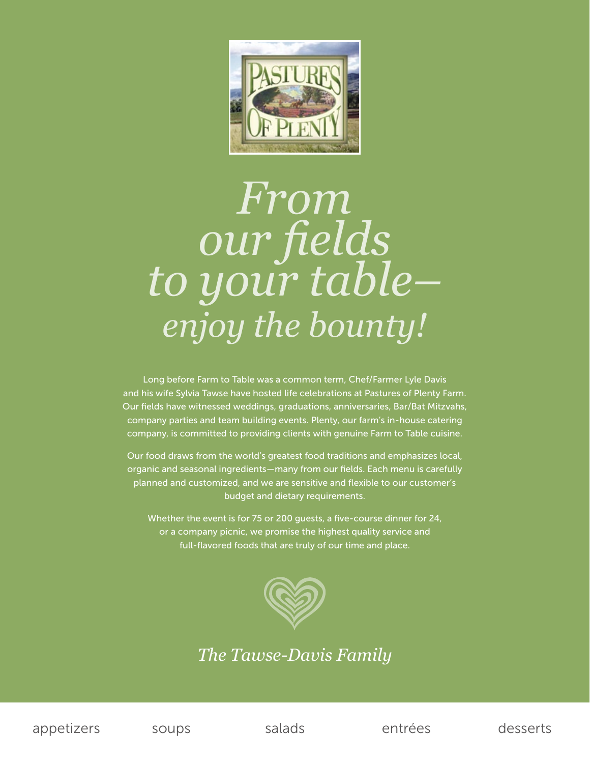

# *From to your tableenjoy the bounty!*

Long before Farm to Table was a common term, Chef/Farmer Lyle Davis and his wife Sylvia Tawse have hosted life celebrations at Pastures of Plenty Farm. Our fields have witnessed weddings, graduations, anniversaries, Bar/Bat Mitzvahs, company parties and team building events. Plenty, our farm's in-house catering company, is committed to providing clients with genuine Farm to Table cuisine.

Our food draws from the world's greatest food traditions and emphasizes local, organic and seasonal ingredients—many from our fields. Each menu is carefully planned and customized, and we are sensitive and flexible to our customer's budget and dietary requirements.

Whether the event is for 75 or 200 guests, a five-course dinner for 24, or a company picnic, we promise the highest quality service and full-flavored foods that are truly of our time and place.



*The Tawse-Davis Family*

appetizers soups salads entrées desserts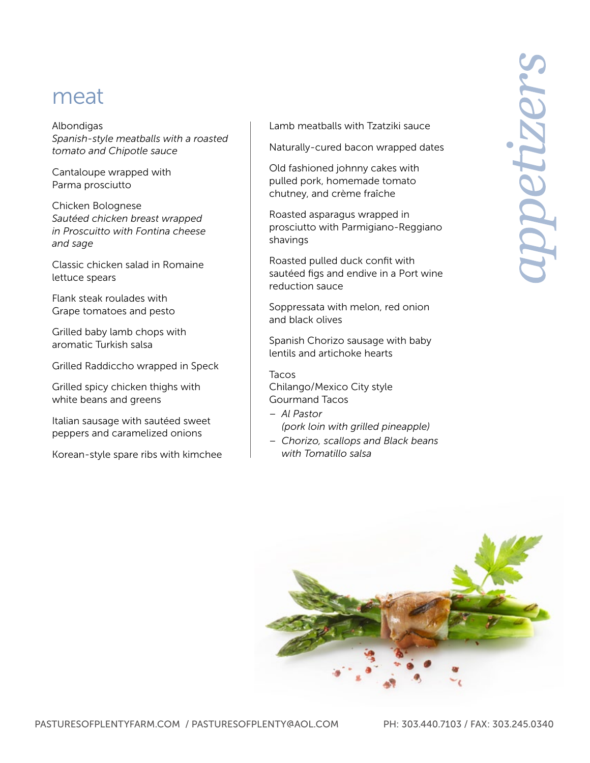### meat

Albondigas *Spanish-style meatballs with a roasted tomato and Chipotle sauce*

Cantaloupe wrapped with Parma prosciutto

Chicken Bolognese *Sautéed chicken breast wrapped in Proscuitto with Fontina cheese and sage*

Classic chicken salad in Romaine lettuce spears

Flank steak roulades with Grape tomatoes and pesto

Grilled baby lamb chops with aromatic Turkish salsa

Grilled Raddiccho wrapped in Speck

Grilled spicy chicken thighs with white beans and greens

Italian sausage with sautéed sweet peppers and caramelized onions

Korean-style spare ribs with kimchee

Lamb meatballs with Tzatziki sauce

Naturally-cured bacon wrapped dates

Old fashioned johnny cakes with pulled pork, homemade tomato chutney, and crème fraîche

Roasted asparagus wrapped in prosciutto with Parmigiano-Reggiano shavings

Roasted pulled duck confit with sautéed figs and endive in a Port wine reduction sauce

Soppressata with melon, red onion and black olives

Spanish Chorizo sausage with baby lentils and artichoke hearts

**Tacos** Chilango/Mexico City style Gourmand Tacos

- *– Al Pastor (pork loin with grilled pineapple)*
- *– Chorizo, scallops and Black beans*
- *with Tomatillo salsa*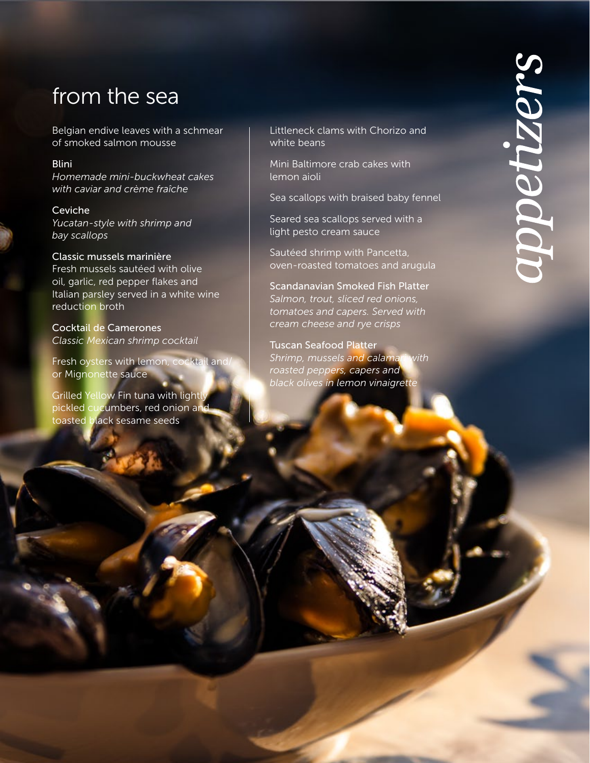### from the sea

Belgian endive leaves with a schmear of smoked salmon mousse

Blini *Homemade mini-buckwheat cakes with caviar and crème fraîche*

Ceviche *Yucatan-style with shrimp and bay scallops*

Classic mussels marinière Fresh mussels sautéed with olive oil, garlic, red pepper flakes and Italian parsley served in a white wine reduction broth

Cocktail de Camerones *Classic Mexican shrimp cocktail*

Fresh oysters with lemon, cocktail and or Mignonette sauce

Grilled Yellow Fin tuna with light pickled cucumbers, red onion an toasted black sesame seeds

Littleneck clams with Chorizo and white beans

Mini Baltimore crab cakes with lemon aioli

Sea scallops with braised baby fennel

Seared sea scallops served with a light pesto cream sauce

Sautéed shrimp with Pancetta, oven-roasted tomatoes and arugula

Scandanavian Smoked Fish Platter *Salmon, trout, sliced red onions, tomatoes and capers. Served with cream cheese and rye crisps*

Tuscan Seafood Platter *Shrimp, mussels and calamari with roasted peppers, capers and black olives in lemon vinaigrette*

PasturesOfPLentyFarm.com / pasturesofplenty@aol.com Ph: 303.440.7103 / Fax: 303.245.0340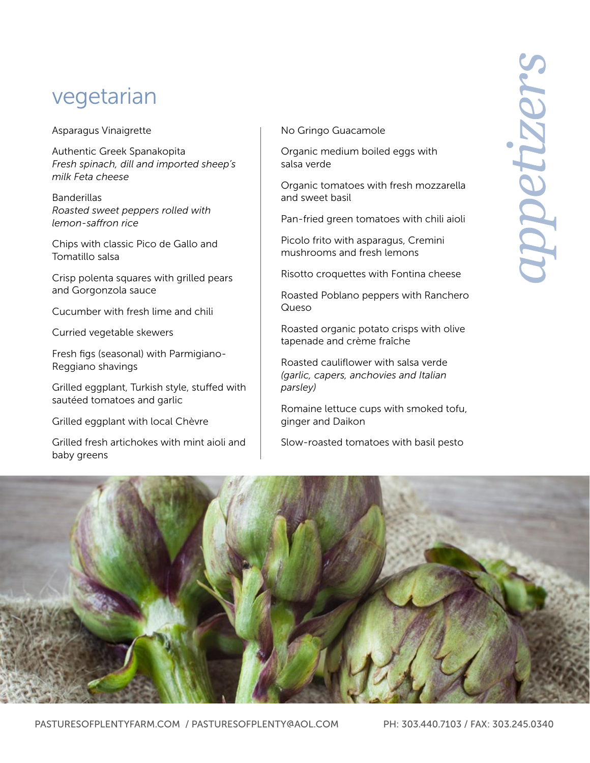### vegetarian

### Asparagus Vinaigrette

Authentic Greek Spanakopita *Fresh spinach, dill and imported sheep's milk Feta cheese*

**Banderillas** *Roasted sweet peppers rolled with lemon-saffron rice*

Chips with classic Pico de Gallo and Tomatillo salsa

Crisp polenta squares with grilled pears and Gorgonzola sauce

Cucumber with fresh lime and chili

Curried vegetable skewers

Fresh figs (seasonal) with Parmigiano-Reggiano shavings

Grilled eggplant, Turkish style, stuffed with sautéed tomatoes and garlic

Grilled eggplant with local Chèvre

Grilled fresh artichokes with mint aioli and baby greens

No Gringo Guacamole

Organic medium boiled eggs with salsa verde

Organic tomatoes with fresh mozzarella and sweet basil

Pan-fried green tomatoes with chili aioli

Picolo frito with asparagus, Cremini mushrooms and fresh lemons

Risotto croquettes with Fontina cheese

Roasted Poblano peppers with Ranchero Queso

Roasted organic potato crisps with olive tapenade and crème fraîche

Roasted cauliflower with salsa verde *(garlic, capers, anchovies and Italian parsley)*

Romaine lettuce cups with smoked tofu, ginger and Daikon

Slow-roasted tomatoes with basil pesto

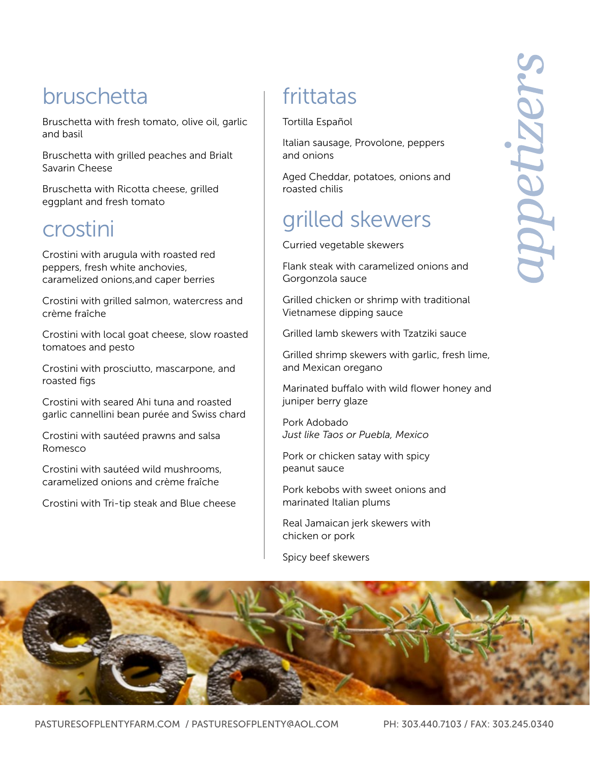### bruschetta

Bruschetta with fresh tomato, olive oil, garlic and basil

Bruschetta with grilled peaches and Brialt Savarin Cheese

Bruschetta with Ricotta cheese, grilled eggplant and fresh tomato

### crostini

Crostini with arugula with roasted red peppers, fresh white anchovies, caramelized onions,and caper berries

Crostini with grilled salmon, watercress and crème fraîche

Crostini with local goat cheese, slow roasted tomatoes and pesto

Crostini with prosciutto, mascarpone, and roasted figs

Crostini with seared Ahi tuna and roasted garlic cannellini bean purée and Swiss chard

Crostini with sautéed prawns and salsa Romesco

Crostini with sautéed wild mushrooms, caramelized onions and crème fraîche

Crostini with Tri-tip steak and Blue cheese

## frittatas

Tortilla Español

Italian sausage, Provolone, peppers and onions

Aged Cheddar, potatoes, onions and roasted chilis

# grilled skewers

Curried vegetable skewers

Flank steak with caramelized onions and Gorgonzola sauce

Grilled chicken or shrimp with traditional Vietnamese dipping sauce

Grilled lamb skewers with Tzatziki sauce

Grilled shrimp skewers with garlic, fresh lime, and Mexican oregano

Marinated buffalo with wild flower honey and juniper berry glaze

Pork Adobado *Just like Taos or Puebla, Mexico*

Pork or chicken satay with spicy peanut sauce

Pork kebobs with sweet onions and marinated Italian plums

Real Jamaican jerk skewers with chicken or pork

Spicy beef skewers



PasturesOfPLentyFarm.com / pasturesofplenty@aol.com Ph: 303.440.7103 / Fax: 303.245.0340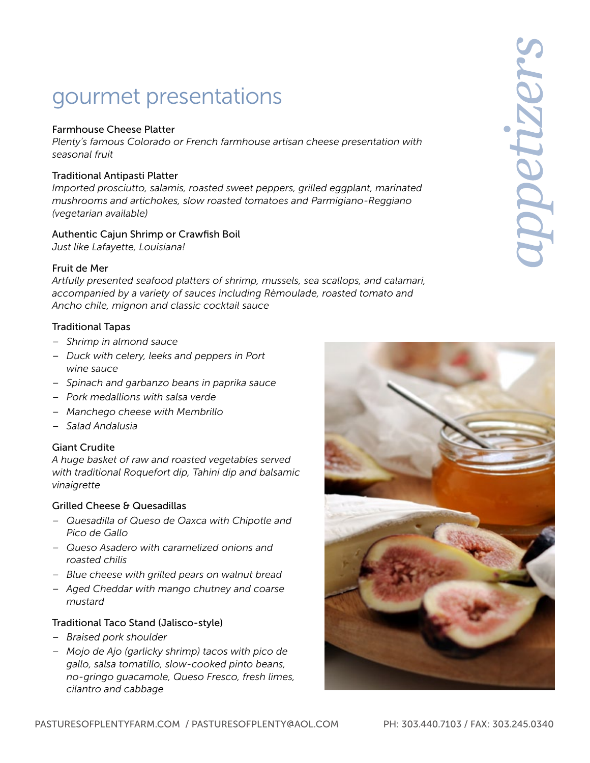## gourmet presentations

### Farmhouse Cheese Platter

*Plenty's famous Colorado or French farmhouse artisan cheese presentation with seasonal fruit*

#### Traditional Antipasti Platter

*Imported prosciutto, salamis, roasted sweet peppers, grilled eggplant, marinated mushrooms and artichokes, slow roasted tomatoes and Parmigiano-Reggiano (vegetarian available)*

#### Authentic Cajun Shrimp or Crawfish Boil

*Just like Lafayette, Louisiana!*

#### Fruit de Mer

*Artfully presented seafood platters of shrimp, mussels, sea scallops, and calamari, accompanied by a variety of sauces including Rèmoulade, roasted tomato and Ancho chile, mignon and classic cocktail sauce*

### Traditional Tapas

- *– Shrimp in almond sauce*
- *– Duck with celery, leeks and peppers in Port wine sauce*
- *– Spinach and garbanzo beans in paprika sauce*
- *– Pork medallions with salsa verde*
- *– Manchego cheese with Membrillo*
- *– Salad Andalusia*

#### Giant Crudite

*A huge basket of raw and roasted vegetables served with traditional Roquefort dip, Tahini dip and balsamic vinaigrette*

#### Grilled Cheese & Quesadillas

- *– Quesadilla of Queso de Oaxca with Chipotle and Pico de Gallo*
- *– Queso Asadero with caramelized onions and roasted chilis*
- *– Blue cheese with grilled pears on walnut bread*
- *– Aged Cheddar with mango chutney and coarse mustard*

#### Traditional Taco Stand (Jalisco-style)

- *– Braised pork shoulder*
- *– Mojo de Ajo (garlicky shrimp) tacos with pico de gallo, salsa tomatillo, slow-cooked pinto beans, no-gringo guacamole, Queso Fresco, fresh limes, cilantro and cabbage*

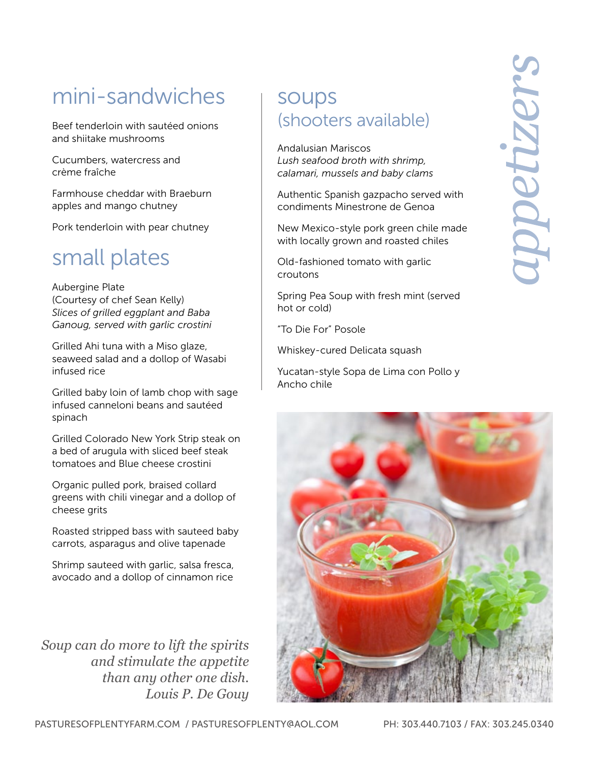# mini-sandwiches

Beef tenderloin with sautéed onions and shiitake mushrooms

Cucumbers, watercress and crème fraîche

Farmhouse cheddar with Braeburn apples and mango chutney

Pork tenderloin with pear chutney

### small plates

Aubergine Plate (Courtesy of chef Sean Kelly) *Slices of grilled eggplant and Baba Ganoug, served with garlic crostini*

Grilled Ahi tuna with a Miso glaze, seaweed salad and a dollop of Wasabi infused rice

Grilled baby loin of lamb chop with sage infused canneloni beans and sautéed spinach

Grilled Colorado New York Strip steak on a bed of arugula with sliced beef steak tomatoes and Blue cheese crostini

Organic pulled pork, braised collard greens with chili vinegar and a dollop of cheese grits

Roasted stripped bass with sauteed baby carrots, asparagus and olive tapenade

Shrimp sauteed with garlic, salsa fresca, avocado and a dollop of cinnamon rice

*Soup can do more to lift the spirits and stimulate the appetite than any other one dish. Louis P. De Gouy*

### soups (shooters available)

Andalusian Mariscos *Lush seafood broth with shrimp, calamari, mussels and baby clams*

Authentic Spanish gazpacho served with condiments Minestrone de Genoa

New Mexico-style pork green chile made with locally grown and roasted chiles

Old-fashioned tomato with garlic croutons

Spring Pea Soup with fresh mint (served hot or cold)

"To Die For" Posole

Whiskey-cured Delicata squash

Yucatan-style Sopa de Lima con Pollo y Ancho chile

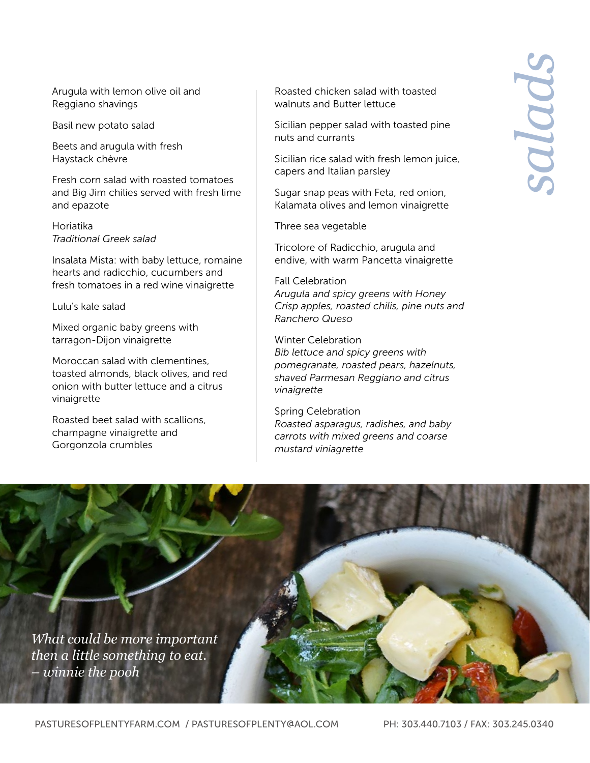Arugula with lemon olive oil and Reggiano shavings

Basil new potato salad

Beets and arugula with fresh Haystack chèvre

Fresh corn salad with roasted tomatoes and Big Jim chilies served with fresh lime and epazote

Horiatika *Traditional Greek salad*

Insalata Mista: with baby lettuce, romaine hearts and radicchio, cucumbers and fresh tomatoes in a red wine vinaigrette

Lulu's kale salad

Mixed organic baby greens with tarragon-Dijon vinaigrette

Moroccan salad with clementines, toasted almonds, black olives, and red onion with butter lettuce and a citrus vinaigrette

Roasted beet salad with scallions, champagne vinaigrette and Gorgonzola crumbles

Roasted chicken salad with toasted walnuts and Butter lettuce

Sicilian pepper salad with toasted pine nuts and currants

Sicilian rice salad with fresh lemon juice, capers and Italian parsley

Sugar snap peas with Feta, red onion, Kalamata olives and lemon vinaigrette

Three sea vegetable

Tricolore of Radicchio, arugula and endive, with warm Pancetta vinaigrette

Fall Celebration *Arugula and spicy greens with Honey Crisp apples, roasted chilis, pine nuts and Ranchero Queso*

Winter Celebration *Bib lettuce and spicy greens with pomegranate, roasted pears, hazelnuts, shaved Parmesan Reggiano and citrus vinaigrette*

Spring Celebration *Roasted asparagus, radishes, and baby carrots with mixed greens and coarse mustard viniagrette*

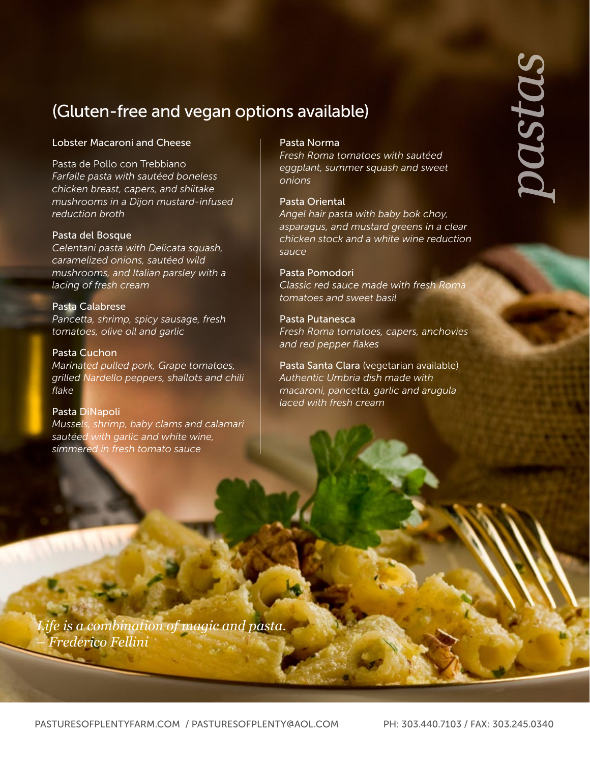

### (Gluten-free and vegan options available)

### Lobster Macaroni and Cheese

Pasta de Pollo con Trebbiano *Farfalle pasta with sautéed boneless chicken breast, capers, and shiitake mushrooms in a Dijon mustard-infused reduction broth*

### Pasta del Bosque

*Celentani pasta with Delicata squash, caramelized onions, sautéed wild mushrooms, and Italian parsley with a lacing of fresh cream*

Pasta Calabrese *Pancetta, shrimp, spicy sausage, fresh tomatoes, olive oil and garlic*

#### Pasta Cuchon

*Marinated pulled pork, Grape tomatoes, grilled Nardello peppers, shallots and chili flake*

#### Pasta DiNapoli

*Mussels, shrimp, baby clams and calamari sautéed with garlic and white wine, simmered in fresh tomato sauce*

#### Pasta Norma

*Fresh Roma tomatoes with sautéed eggplant, summer squash and sweet onions*

#### Pasta Oriental

*Angel hair pasta with baby bok choy, asparagus, and mustard greens in a clear chicken stock and a white wine reduction sauce*

#### Pasta Pomodori

*Classic red sauce made with fresh Roma tomatoes and sweet basil*

Pasta Putanesca *Fresh Roma tomatoes, capers, anchovies and red pepper flakes*

Pasta Santa Clara (vegetarian available) *Authentic Umbria dish made with macaroni, pancetta, garlic and arugula laced with fresh cream*

*Life is a combination of magic and pasta. – Frederico Fellini*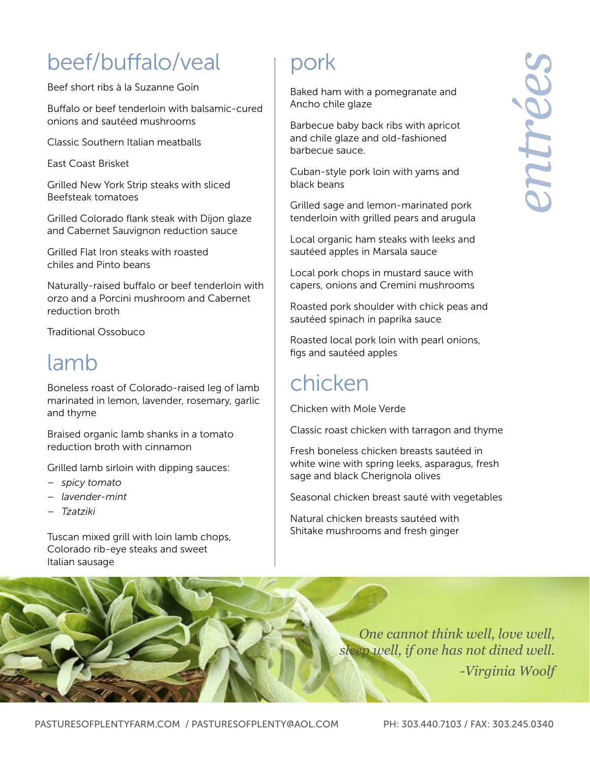# beef/buffalo/veal

Beef short ribs à la Suzanne Goin

Buffalo or beef tenderloin with balsamic-cured onions and sautéed mushrooms

Classic Southern Italian meatballs

East Coast Brisket

Grilled New York Strip steaks with sliced Beefsteak tomatoes

Grilled Colorado flank steak with Dijon glaze and Cabernet Sauvignon reduction sauce

Grilled Flat Iron steaks with roasted chiles and Pinto beans

Naturally-raised buffalo or beef tenderloin with orzo and a Porcini mushroom and Cabernet reduction broth

Traditional Ossobuco

### lamb

Boneless roast of Colorado-raised leg of lamb marinated in lemon, lavender, rosemary, garlic and thyme

Braised organic lamb shanks in a tomato reduction broth with cinnamon

Grilled lamb sirloin with dipping sauces:

- *– spicy tomato*
- *– lavender-mint*
- *– Tzatziki*

Tuscan mixed grill with loin lamb chops, Colorado rib-eye steaks and sweet Italian sausage

### pork

Baked ham with a pomegranate and Ancho chile glaze

Barbecue baby back ribs with apricot and chile glaze and old-fashioned barbecue sauce.

Cuban-style pork loin with yams and black beans

Grilled sage and lemon-marinated pork tenderloin with grilled pears and arugula

Local organic ham steaks with leeks and sautéed apples in Marsala sauce

Local pork chops in mustard sauce with capers, onions and Cremini mushrooms

Roasted pork shoulder with chick peas and sautéed spinach in paprika sauce

Roasted local pork loin with pearl onions, figs and sautéed apples

### chicken

Chicken with Mole Verde

Classic roast chicken with tarragon and thyme

Fresh boneless chicken breasts sautéed in white wine with spring leeks, asparagus, fresh sage and black Cherignola olives

Seasonal chicken breast sauté with vegetables

Natural chicken breasts sautéed with Shitake mushrooms and fresh ginger



*One cannot think well, love well, sleep well, if one has not dined well. -Virginia Woolf*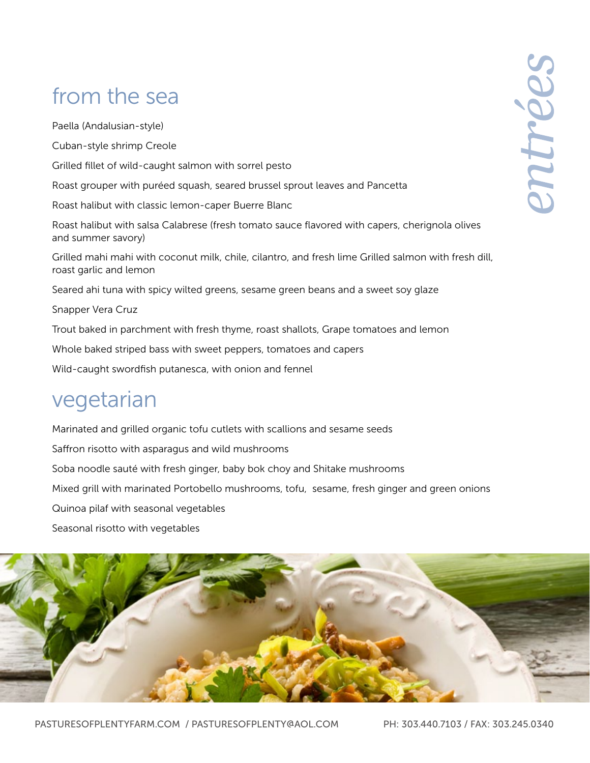# from the sea

Paella (Andalusian-style) Cuban-style shrimp Creole Grilled fillet of wild-caught salmon with sorrel pesto Roast grouper with puréed squash, seared brussel sprout leaves and Pancetta Roast halibut with classic lemon-caper Buerre Blanc Roast halibut with salsa Calabrese (fresh tomato sauce flavored with capers, cherignola olives and summer savory) Grilled mahi mahi with coconut milk, chile, cilantro, and fresh lime Grilled salmon with fresh dill, roast garlic and lemon Seared ahi tuna with spicy wilted greens, sesame green beans and a sweet soy glaze Snapper Vera Cruz Trout baked in parchment with fresh thyme, roast shallots, Grape tomatoes and lemon Whole baked striped bass with sweet peppers, tomatoes and capers Wild-caught swordfish putanesca, with onion and fennel

### vegetarian

Marinated and grilled organic tofu cutlets with scallions and sesame seeds Saffron risotto with asparagus and wild mushrooms Soba noodle sauté with fresh ginger, baby bok choy and Shitake mushrooms Mixed grill with marinated Portobello mushrooms, tofu, sesame, fresh ginger and green onions Quinoa pilaf with seasonal vegetables Seasonal risotto with vegetables

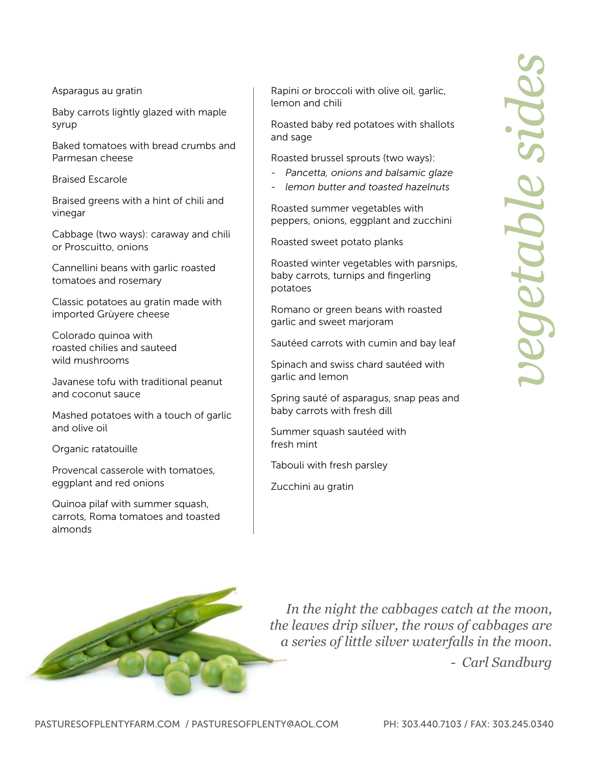Asparagus au gratin

Baby carrots lightly glazed with maple syrup

Baked tomatoes with bread crumbs and Parmesan cheese

Braised Escarole

Braised greens with a hint of chili and vinegar

Cabbage (two ways): caraway and chili or Proscuitto, onions

Cannellini beans with garlic roasted tomatoes and rosemary

Classic potatoes au gratin made with imported Grùyere cheese

Colorado quinoa with roasted chilies and sauteed wild mushrooms

Javanese tofu with traditional peanut and coconut sauce

Mashed potatoes with a touch of garlic and olive oil

Organic ratatouille

Provencal casserole with tomatoes, eggplant and red onions

Quinoa pilaf with summer squash, carrots, Roma tomatoes and toasted almonds

Rapini or broccoli with olive oil, garlic, lemon and chili

Roasted baby red potatoes with shallots and sage

Roasted brussel sprouts (two ways):

- *- Pancetta, onions and balsamic glaze*
- *- lemon butter and toasted hazelnuts*

Roasted summer vegetables with peppers, onions, eggplant and zucchini

Roasted sweet potato planks

Roasted winter vegetables with parsnips, baby carrots, turnips and fingerling potatoes

Romano or green beans with roasted garlic and sweet marjoram

Sautéed carrots with cumin and bay leaf

Spinach and swiss chard sautéed with garlic and lemon

Spring sauté of asparagus, snap peas and baby carrots with fresh dill

Summer squash sautéed with fresh mint

Tabouli with fresh parsley

Zucchini au gratin



*In the night the cabbages catch at the moon, the leaves drip silver, the rows of cabbages are a series of little silver waterfalls in the moon. - Carl Sandburg*